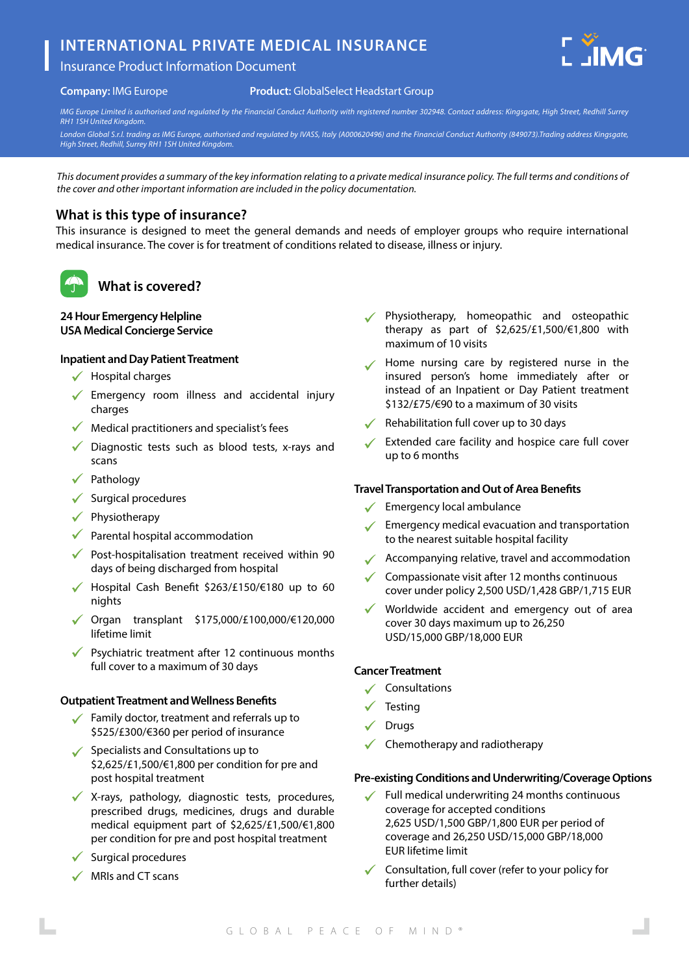# **INTERNATIONAL PRIVATE MEDICAL INSURANCE**

## Insurance Product Information Document



#### **Company:** IMG Europe

#### **Product:** GlobalSelect Headstart Group

*IMG Europe Limited is authorised and regulated by the Financial Conduct Authority with registered number 302948. Contact address: Kingsgate, High Street, Redhill Surrey RH1 1SH United Kingdom.*

*London Global S.r.l. trading as IMG Europe, authorised and regulated by IVASS, Italy (A000620496) and the Financial Conduct Authority (849073).Trading address Kingsgate, High Street, Redhill, Surrey RH1 1SH United Kingdom.*

*This document provides a summary of the key information relating to a private medical insurance policy. The full terms and conditions of the cover and other important information are included in the policy documentation.*

### **What is this type of insurance?**

This insurance is designed to meet the general demands and needs of employer groups who require international medical insurance. The cover is for treatment of conditions related to disease, illness or injury.



## **What is covered?**

### **24 Hour Emergency Helpline USA Medical Concierge Service**

### **Inpatient and Day Patient Treatment**

- $\checkmark$  Hospital charges
- $\sqrt{\ }$  Emergency room illness and accidental injury charges
- $\sqrt{\phantom{a}}$  Medical practitioners and specialist's fees
- $\checkmark$  Diagnostic tests such as blood tests, x-rays and scans
- $\checkmark$  Pathology
- $\checkmark$  Surgical procedures
- $\checkmark$  Physiotherapy
- $\sqrt{\phantom{a}}$  Parental hospital accommodation
- $\sqrt{\ }$  Post-hospitalisation treatment received within 90 days of being discharged from hospital
- Hospital Cash Benefit \$263/£150/€180 up to 60 nights
- Organ transplant \$175,000/£100,000/€120,000 lifetime limit
- Psychiatric treatment after 12 continuous months full cover to a maximum of 30 days

### **Outpatient Treatment and Wellness Benefits**

- Family doctor, treatment and referrals up to \$525/£300/€360 per period of insurance
- $\checkmark$  Specialists and Consultations up to \$2,625/£1,500/€1,800 per condition for pre and post hospital treatment
- X-rays, pathology, diagnostic tests, procedures, prescribed drugs, medicines, drugs and durable medical equipment part of \$2,625/£1,500/€1,800 per condition for pre and post hospital treatment
- Surgical procedures
- $\checkmark$  MRIs and CT scans
- Physiotherapy, homeopathic and osteopathic therapy as part of \$2,625/£1,500/€1,800 with maximum of 10 visits
- Home nursing care by registered nurse in the insured person's home immediately after or instead of an Inpatient or Day Patient treatment \$132/£75/€90 to a maximum of 30 visits
- $\sqrt{\phantom{a}}$  Rehabilitation full cover up to 30 days
- Extended care facility and hospice care full cover up to 6 months

### **Travel Transportation and Out of Area Benefits**

- $\checkmark$  Emergency local ambulance
- $\sqrt{\phantom{a}}$  Emergency medical evacuation and transportation to the nearest suitable hospital facility
- $\sqrt{\phantom{a}}$  Accompanying relative, travel and accommodation
- $\checkmark$  Compassionate visit after 12 months continuous cover under policy 2,500 USD/1,428 GBP/1,715 EUR
- Worldwide accident and emergency out of area cover 30 days maximum up to 26,250 USD/15,000 GBP/18,000 EUR

#### **Cancer Treatment**

- $\checkmark$  Consultations
- **Testing**
- Drugs
- Chemotherapy and radiotherapy

### **Pre-existing Conditions and Underwriting/Coverage Options**

- Full medical underwriting 24 months continuous coverage for accepted conditions 2,625 USD/1,500 GBP/1,800 EUR per period of coverage and 26,250 USD/15,000 GBP/18,000 EUR lifetime limit
- $\checkmark$  Consultation, full cover (refer to your policy for further details)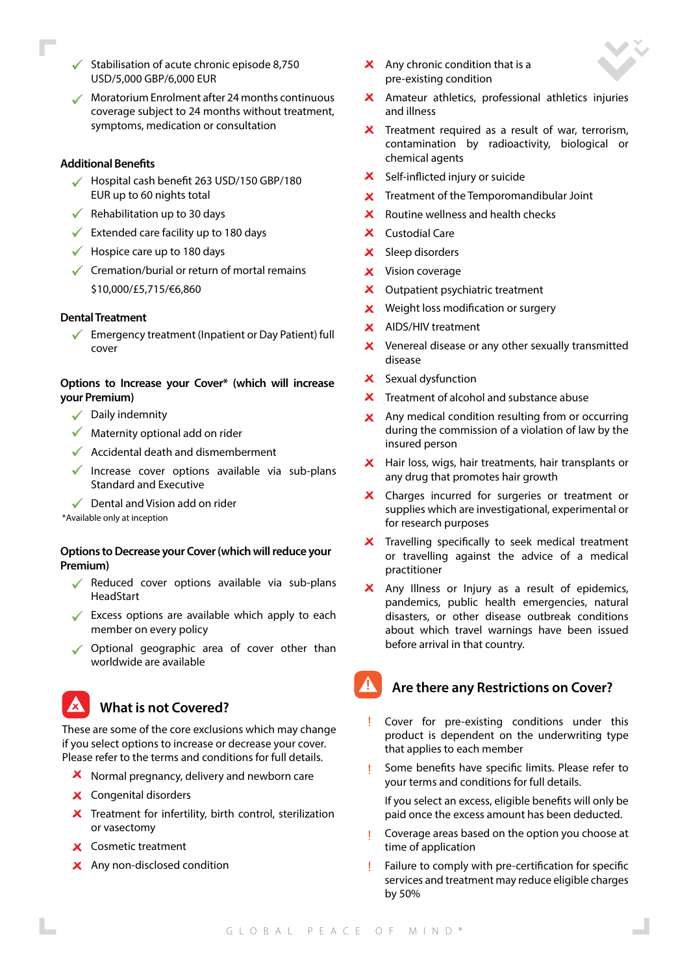- Stabilisation of acute chronic episode 8,750 USD/5,000 GBP/6,000 EUR
- Moratorium Enrolment after 24 months continuous coverage subject to 24 months without treatment, symptoms, medication or consultation

#### **Additional Benefits**

- $\checkmark$  Hospital cash benefit 263 USD/150 GBP/180 EUR up to 60 nights total
- $\sqrt{\phantom{a}}$  Rehabilitation up to 30 days
- $\checkmark$  Extended care facility up to 180 days
- $\checkmark$  Hospice care up to 180 days
- $\checkmark$  Cremation/burial or return of mortal remains \$10,000/£5,715/€6,860

#### **Dental Treatment**

 $\checkmark$ Emergency treatment (Inpatient or Day Patient) full cover

### **Options to Increase your Cover\* (which will increase your Premium)**

- $\sqrt{\phantom{a}}$  Daily indemnity
- $\sqrt{\phantom{a}}$  Maternity optional add on rider
- $\sqrt{\phantom{a}}$  Accidental death and dismemberment
- $\checkmark$  Increase cover options available via sub-plans Standard and Executive
- $\sqrt{\phantom{a}}$  Dental and Vision add on rider

\*Available only at inception

### **Options to Decrease your Cover (which will reduce your Premium)**

- Reduced cover options available via sub-plans HeadStart
- $\checkmark$  Excess options are available which apply to each member on every policy
- ◆ Optional geographic area of cover other than worldwide are available



These are some of the core exclusions which may change if you select options to increase or decrease your cover. Please refer to the terms and conditions for full details.

- $\boldsymbol{\times}$  Normal pregnancy, delivery and newborn care
- Congenital disorders
- $\boldsymbol{\times}$  Treatment for infertility, birth control, sterilization or vasectomy
- **X** Cosmetic treatment
- X Any non-disclosed condition
- $\mathsf{\times}$  Any chronic condition that is a pre-existing condition
- Amateur athletics, professional athletics injuries and illness
- $\boldsymbol{\times}$  Treatment required as a result of war, terrorism, contamination by radioactivity, biological or chemical agents
- X Self-inflicted injury or suicide
- Treatment of the Temporomandibular Joint  $\mathbf{x}$
- Routine wellness and health checks  $\mathbf{x}$
- X Custodial Care
- X Sleep disorders
- **X** Vision coverage
- X Outpatient psychiatric treatment
- $\boldsymbol{\times}$  Weight loss modification or surgery
- $\mathbf{x}$ AIDS/HIV treatment
- $\boldsymbol{\times}$  Venereal disease or any other sexually transmitted disease
- X Sexual dysfunction
- $\overline{\mathsf{x}}$  Treatment of alcohol and substance abuse
- Any medical condition resulting from or occurring  $\mathbf{x}$ during the commission of a violation of law by the insured person
- X Hair loss, wigs, hair treatments, hair transplants or any drug that promotes hair growth
- $\boldsymbol{\mathsf{x}}$ Charges incurred for surgeries or treatment or supplies which are investigational, experimental or for research purposes
- Travelling specifically to seek medical treatment or travelling against the advice of a medical practitioner
- $\overline{\mathsf{x}}$  Any Illness or Injury as a result of epidemics, pandemics, public health emergencies, natural disasters, or other disease outbreak conditions about which travel warnings have been issued before arrival in that country.

## **Are there any Restrictions on Cover?**

- Cover for pre-existing conditions under this product is dependent on the underwriting type that applies to each member
- Some benefits have specific limits. Please refer to your terms and conditions for full details.

If you select an excess, eligible benefits will only be paid once the excess amount has been deducted.

- Coverage areas based on the option you choose at time of application
- Failure to comply with pre-certification for specific services and treatment may reduce eligible charges by 50%